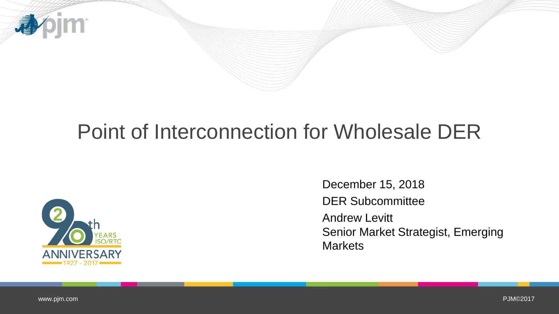

# Point of Interconnection for Wholesale DER



December 15, 2018 DER Subcommittee Andrew Levitt Senior Market Strategist, Emerging **Markets**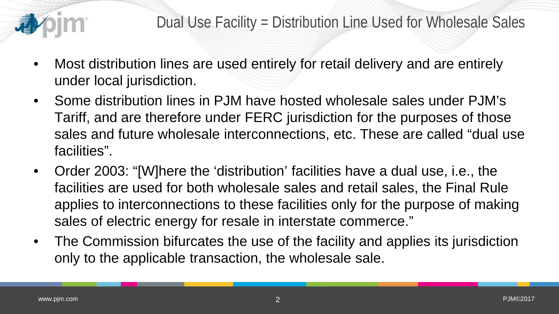

- Most distribution lines are used entirely for retail delivery and are entirely under local jurisdiction.
- Some distribution lines in PJM have hosted wholesale sales under PJM's Tariff, and are therefore under FERC jurisdiction for the purposes of those sales and future wholesale interconnections, etc. These are called "dual use facilities".
- Order 2003: "[W]here the 'distribution' facilities have a dual use, i.e., the facilities are used for both wholesale sales and retail sales, the Final Rule applies to interconnections to these facilities only for the purpose of making sales of electric energy for resale in interstate commerce."
- The Commission bifurcates the use of the facility and applies its jurisdiction only to the applicable transaction, the wholesale sale.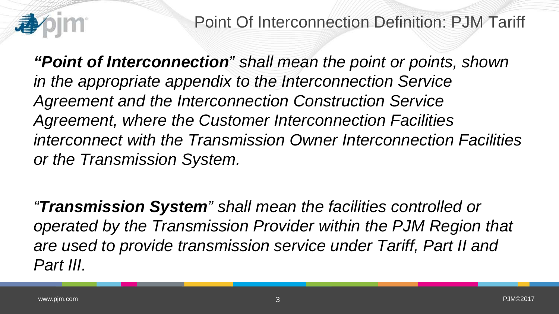

Point Of Interconnection Definition: PJM Tariff

*"Point of Interconnection" shall mean the point or points, shown in the appropriate appendix to the Interconnection Service Agreement and the Interconnection Construction Service Agreement, where the Customer Interconnection Facilities interconnect with the Transmission Owner Interconnection Facilities or the Transmission System.*

*"Transmission System" shall mean the facilities controlled or operated by the Transmission Provider within the PJM Region that are used to provide transmission service under Tariff, Part II and Part III.*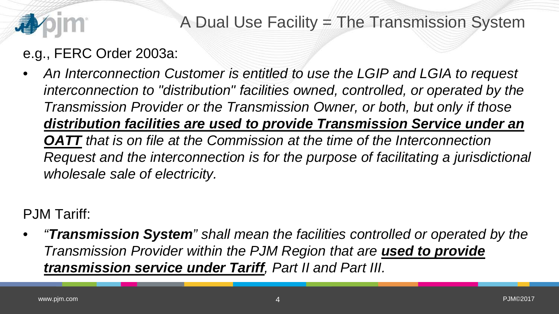

## A Dual Use Facility = The Transmission System

#### e.g., FERC Order 2003a:

• *An Interconnection Customer is entitled to use the LGIP and LGIA to request interconnection to "distribution" facilities owned, controlled, or operated by the Transmission Provider or the Transmission Owner, or both, but only if those distribution facilities are used to provide Transmission Service under an OATT that is on file at the Commission at the time of the Interconnection Request and the interconnection is for the purpose of facilitating a jurisdictional wholesale sale of electricity.*

PJM Tariff:

• *"Transmission System" shall mean the facilities controlled or operated by the Transmission Provider within the PJM Region that are used to provide transmission service under Tariff, Part II and Part III.*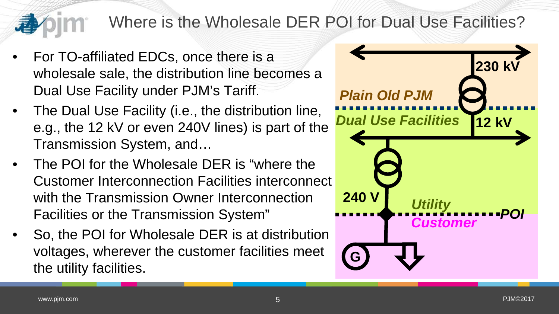### Where is the Wholesale DER POI for Dual Use Facilities?

- For TO-affiliated EDCs, once there is a wholesale sale, the distribution line becomes a Dual Use Facility under PJM's Tariff.
- The Dual Use Facility (i.e., the distribution line, e.g., the 12 kV or even 240V lines) is part of the Transmission System, and…
- The POI for the Wholesale DER is "where the Customer Interconnection Facilities interconnect with the Transmission Owner Interconnection Facilities or the Transmission System"
- So, the POI for Wholesale DER is at distribution voltages, wherever the customer facilities meet the utility facilities.